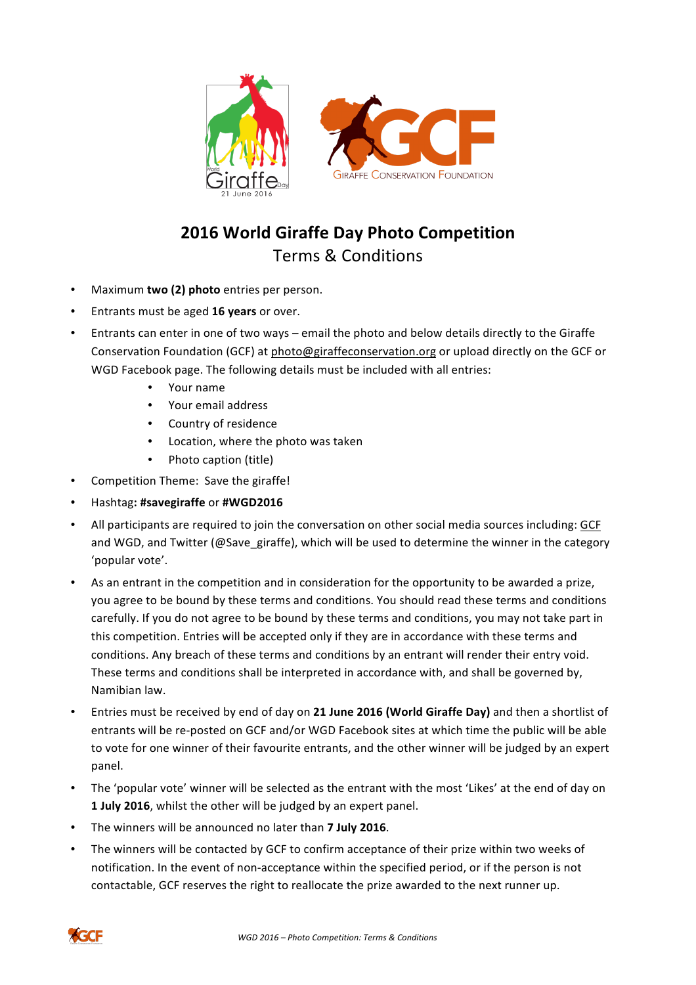

## **2016 World Giraffe Day Photo Competition** Terms & Conditions

- Maximum **two (2) photo** entries per person.
- Entrants must be aged 16 years or over.
- Entrants can enter in one of two ways email the photo and below details directly to the Giraffe Conservation Foundation (GCF) at photo@giraffeconservation.org or upload directly on the GCF or WGD Facebook page. The following details must be included with all entries:
	- Your name
	- Your email address
	- Country of residence
	- Location, where the photo was taken
	- Photo caption (title)
- Competition Theme: Save the giraffe!
- Hashtag**: #savegiraffe** or **#WGD2016**
- All participants are required to join the conversation on other social media sources including: GCF and WGD, and Twitter (@Save\_giraffe), which will be used to determine the winner in the category 'popular vote'.
- As an entrant in the competition and in consideration for the opportunity to be awarded a prize, you agree to be bound by these terms and conditions. You should read these terms and conditions carefully. If you do not agree to be bound by these terms and conditions, you may not take part in this competition. Entries will be accepted only if they are in accordance with these terms and conditions. Any breach of these terms and conditions by an entrant will render their entry void. These terms and conditions shall be interpreted in accordance with, and shall be governed by, Namibian law.
- Entries must be received by end of day on 21 June 2016 (World Giraffe Day) and then a shortlist of entrants will be re-posted on GCF and/or WGD Facebook sites at which time the public will be able to vote for one winner of their favourite entrants, and the other winner will be judged by an expert panel.
- The 'popular vote' winner will be selected as the entrant with the most 'Likes' at the end of day on **1 July 2016**, whilst the other will be judged by an expert panel.
- The winners will be announced no later than **7 July 2016**.
- The winners will be contacted by GCF to confirm acceptance of their prize within two weeks of notification. In the event of non-acceptance within the specified period, or if the person is not contactable, GCF reserves the right to reallocate the prize awarded to the next runner up.